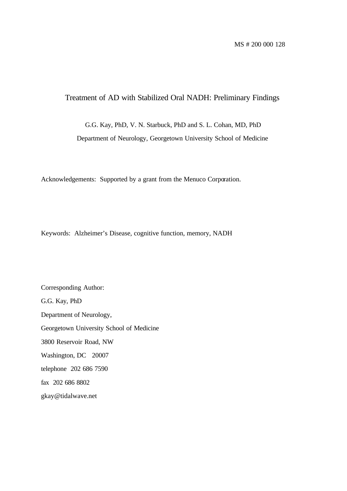# Treatment of AD with Stabilized Oral NADH: Preliminary Findings

G.G. Kay, PhD, V. N. Starbuck, PhD and S. L. Cohan, MD, PhD

Department of Neurology, Georgetown University School of Medicine

Acknowledgements: Supported by a grant from the Menuco Corporation.

Keywords: Alzheimer's Disease, cognitive function, memory, NADH

Corresponding Author: G.G. Kay, PhD Department of Neurology, Georgetown University School of Medicine 3800 Reservoir Road, NW Washington, DC 20007 telephone 202 686 7590 fax 202 686 8802 gkay@tidalwave.net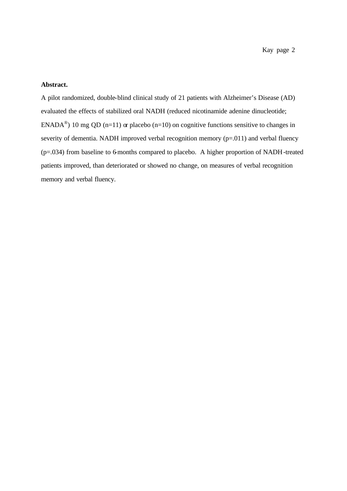#### **Abstract.**

A pilot randomized, double-blind clinical study of 21 patients with Alzheimer's Disease (AD) evaluated the effects of stabilized oral NADH (reduced nicotinamide adenine dinucleotide; ENADA<sup>®</sup>) 10 mg QD (n=11) or placebo (n=10) on cognitive functions sensitive to changes in severity of dementia. NADH improved verbal recognition memory (p=.011) and verbal fluency (p=.034) from baseline to 6-months compared to placebo. A higher proportion of NADH-treated patients improved, than deteriorated or showed no change, on measures of verbal recognition memory and verbal fluency.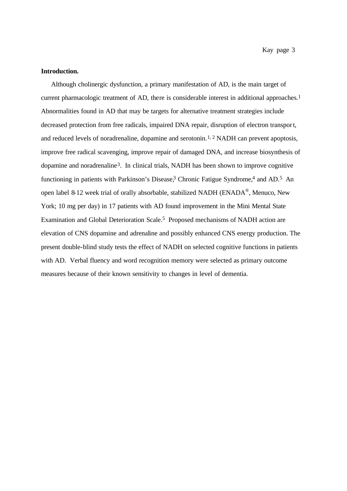## **Introduction.**

Although cholinergic dysfunction, a primary manifestation of AD, is the main target of current pharmacologic treatment of AD, there is considerable interest in additional approaches.<sup>1</sup> Abnormalities found in AD that may be targets for alternative treatment strategies include decreased protection from free radicals, impaired DNA repair, disruption of electron transport, and reduced levels of noradrenaline, dopamine and serotonin.1, 2 NADH can prevent apoptosis, improve free radical scavenging, improve repair of damaged DNA, and increase biosynthesis of dopamine and noradrenaline3. In clinical trials, NADH has been shown to improve cognitive functioning in patients with Parkinson's Disease,<sup>3</sup> Chronic Fatigue Syndrome,<sup>4</sup> and AD.<sup>5</sup> An open label 8-12 week trial of orally absorbable, stabilized NADH (ENADA<sup>®</sup>, Menuco, New York; 10 mg per day) in 17 patients with AD found improvement in the Mini Mental State Examination and Global Deterioration Scale.5 Proposed mechanisms of NADH action are elevation of CNS dopamine and adrenaline and possibly enhanced CNS energy production. The present double-blind study tests the effect of NADH on selected cognitive functions in patients with AD. Verbal fluency and word recognition memory were selected as primary outcome measures because of their known sensitivity to changes in level of dementia.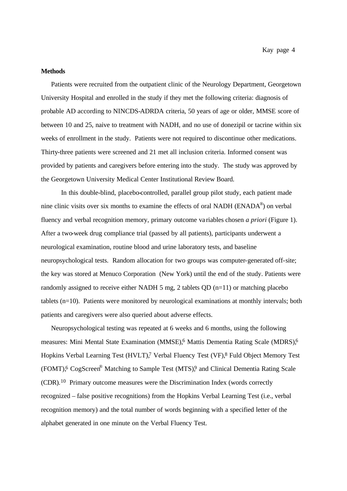#### **Methods**

Patients were recruited from the outpatient clinic of the Neurology Department, Georgetown University Hospital and enrolled in the study if they met the following criteria: diagnosis of probable AD according to NINCDS-ADRDA criteria, 50 years of age or older, MMSE score of between 10 and 25, naive to treatment with NADH, and no use of donezipil or tacrine within six weeks of enrollment in the study. Patients were not required to discontinue other medications. Thirty-three patients were screened and 21 met all inclusion criteria. Informed consent was provided by patients and caregivers before entering into the study. The study was approved by the Georgetown University Medical Center Institutional Review Board.

In this double-blind, placebo-controlled, parallel group pilot study, each patient made nine clinic visits over six months to examine the effects of oral NADH ( $ENADA^{\circledast}$ ) on verbal fluency and verbal recognition memory, primary outcome va riables chosen *a priori* (Figure 1). After a two-week drug compliance trial (passed by all patients), participants underwent a neurological examination, routine blood and urine laboratory tests, and baseline neuropsychological tests. Random allocation for two groups was computer-generated off-site; the key was stored at Menuco Corporation (New York) until the end of the study. Patients were randomly assigned to receive either NADH 5 mg, 2 tablets QD (n=11) or matching placebo tablets (n=10). Patients were monitored by neurological examinations at monthly intervals; both patients and caregivers were also queried about adverse effects.

Neuropsychological testing was repeated at 6 weeks and 6 months, using the following measures: Mini Mental State Examination (MMSE),6 Mattis Dementia Rating Scale (MDRS),6 Hopkins Verbal Learning Test (HVLT),<sup>7</sup> Verbal Fluency Test (VF),<sup>8</sup> Fuld Object Memory Test (FOMT),<sup>6</sup> CogScreen<sup>®</sup> Matching to Sample Test (MTS),<sup>9</sup> and Clinical Dementia Rating Scale (CDR).10 Primary outcome measures were the Discrimination Index (words correctly recognized – false positive recognitions) from the Hopkins Verbal Learning Test (i.e., verbal recognition memory) and the total number of words beginning with a specified letter of the alphabet generated in one minute on the Verbal Fluency Test.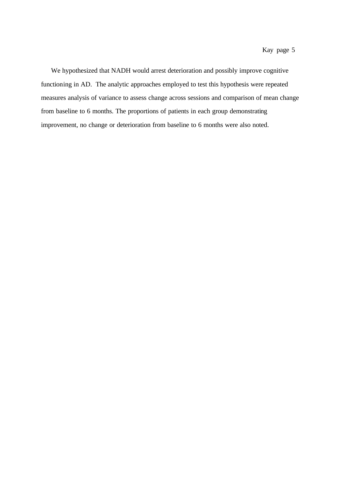We hypothesized that NADH would arrest deterioration and possibly improve cognitive functioning in AD. The analytic approaches employed to test this hypothesis were repeated measures analysis of variance to assess change across sessions and comparison of mean change from baseline to 6 months. The proportions of patients in each group demonstrating improvement, no change or deterioration from baseline to 6 months were also noted.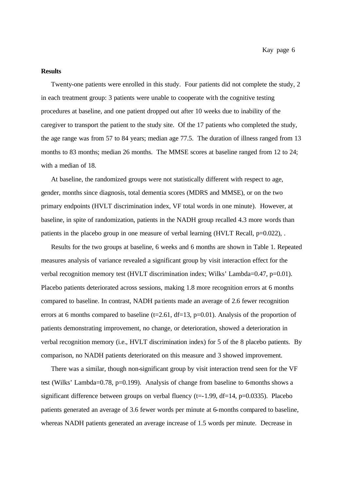#### **Results**

Twenty-one patients were enrolled in this study. Four patients did not complete the study, 2 in each treatment group: 3 patients were unable to cooperate with the cognitive testing procedures at baseline, and one patient dropped out after 10 weeks due to inability of the caregiver to transport the patient to the study site. Of the 17 patients who completed the study, the age range was from 57 to 84 years; median age 77.5. The duration of illness ranged from 13 months to 83 months; median 26 months. The MMSE scores at baseline ranged from 12 to 24; with a median of 18.

At baseline, the randomized groups were not statistically different with respect to age, gender, months since diagnosis, total dementia scores (MDRS and MMSE), or on the two primary endpoints (HVLT discrimination index, VF total words in one minute). However, at baseline, in spite of randomization, patients in the NADH group recalled 4.3 more words than patients in the placebo group in one measure of verbal learning (HVLT Recall, p=0.022),.

Results for the two groups at baseline, 6 weeks and 6 months are shown in Table 1. Repeated measures analysis of variance revealed a significant group by visit interaction effect for the verbal recognition memory test (HVLT discrimination index; Wilks' Lambda=0.47, p=0.01). Placebo patients deteriorated across sessions, making 1.8 more recognition errors at 6 months compared to baseline. In contrast, NADH pa tients made an average of 2.6 fewer recognition errors at 6 months compared to baseline ( $t=2.61$ ,  $df=13$ ,  $p=0.01$ ). Analysis of the proportion of patients demonstrating improvement, no change, or deterioration, showed a deterioration in verbal recognition memory (i.e., HVLT discrimination index) for 5 of the 8 placebo patients. By comparison, no NADH patients deteriorated on this measure and 3 showed improvement.

There was a similar, though non-significant group by visit interaction trend seen for the VF test (Wilks' Lambda=0.78, p=0.199). Analysis of change from baseline to 6-months shows a significant difference between groups on verbal fluency ( $t=1.99$ ,  $df=14$ ,  $p=0.0335$ ). Placebo patients generated an average of 3.6 fewer words per minute at 6-months compared to baseline, whereas NADH patients generated an average increase of 1.5 words per minute. Decrease in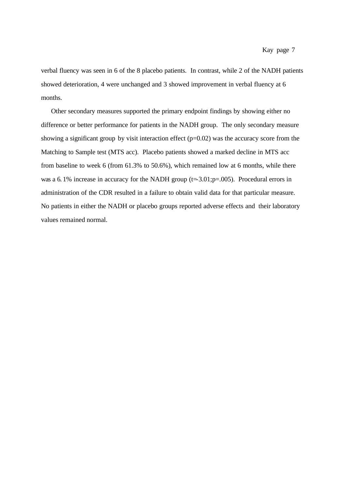verbal fluency was seen in 6 of the 8 placebo patients. In contrast, while 2 of the NADH patients showed deterioration, 4 were unchanged and 3 showed improvement in verbal fluency at 6 months.

Other secondary measures supported the primary endpoint findings by showing either no difference or better performance for patients in the NADH group. The only secondary measure showing a significant group by visit interaction effect (p=0.02) was the accuracy score from the Matching to Sample test (MTS acc). Placebo patients showed a marked decline in MTS acc from baseline to week 6 (from 61.3% to 50.6%), which remained low at 6 months, while there was a 6.1% increase in accuracy for the NADH group  $(t=3.01;p=.005)$ . Procedural errors in administration of the CDR resulted in a failure to obtain valid data for that particular measure. No patients in either the NADH or placebo groups reported adverse effects and their laboratory values remained normal.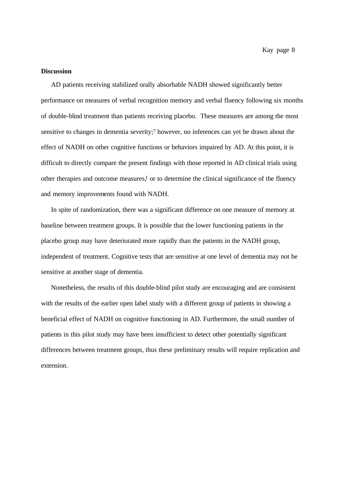Kay page 8

#### **Discussion**

AD patients receiving stabilized orally absorbable NADH showed significantly better performance on measures of verbal recognition memory and verbal fluency following six months of double-blind treatment than patients receiving placebo. These measures are among the most sensitive to changes in dementia severity;<sup>7</sup> however, no inferences can yet be drawn about the effect of NADH on other cognitive functions or behaviors impaired by AD. At this point, it is difficult to directly compare the present findings with those reported in AD clinical trials using other therapies and outcome measures, $\frac{1}{1}$  or to determine the clinical significance of the fluency and memory improvements found with NADH.

In spite of randomization, there was a significant difference on one measure of memory at baseline between treatment groups. It is possible that the lower functioning patients in the placebo group may have deteriorated more rapidly than the patients in the NADH group, independent of treatment. Cognitive tests that are sensitive at one level of dementia may not be sensitive at another stage of dementia.

Nonetheless, the results of this double-blind pilot study are encouraging and are consistent with the results of the earlier open label study with a different group of patients in showing a beneficial effect of NADH on cognitive functioning in AD. Furthermore, the small number of patients in this pilot study may have been insufficient to detect other potentially significant differences between treatment groups, thus these preliminary results will require replication and extension.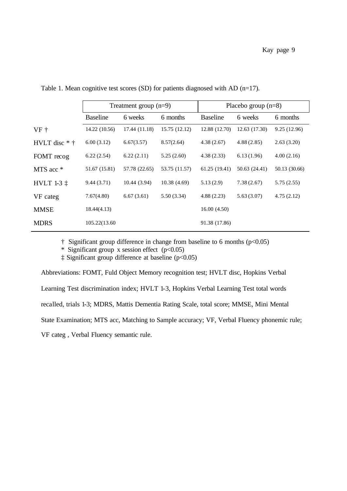|                 | Treatment group $(n=9)$ |               |               | Placebo group $(n=8)$ |               |               |
|-----------------|-------------------------|---------------|---------------|-----------------------|---------------|---------------|
|                 | <b>Baseline</b>         | 6 weeks       | 6 months      | <b>Baseline</b>       | 6 weeks       | 6 months      |
| $VF +$          | 14.22 (10.56)           | 17.44 (11.18) | 15.75 (12.12) | 12.88 (12.70)         | 12.63(17.30)  | 9.25 (12.96)  |
| HVLT disc $*$ † | 6.00(3.12)              | 6.67(3.57)    | 8.57(2.64)    | 4.38(2.67)            | 4.88(2.85)    | 2.63(3.20)    |
| FOMT recog      | 6.22(2.54)              | 6.22(2.11)    | 5.25(2.60)    | 4.38(2.33)            | 6.13(1.96)    | 4.00(2.16)    |
| MTS acc *       | 51.67 (15.81)           | 57.78 (22.65) | 53.75 (11.57) | 61.25 (19.41)         | 50.63 (24.41) | 50.13 (30.66) |
| HVLT 1-3 1      | 9.44(3.71)              | 10.44(3.94)   | 10.38(4.69)   | 5.13(2.9)             | 7.38(2.67)    | 5.75(2.55)    |
| VF categ        | 7.67(4.80)              | 6.67(3.61)    | 5.50(3.34)    | 4.88(2.23)            | 5.63(3.07)    | 4.75(2.12)    |
| <b>MMSE</b>     | 18.44(4.13)             |               |               | 16.00(4.50)           |               |               |
| <b>MDRS</b>     | 105.22(13.60            |               |               | 91.38 (17.86)         |               |               |

Table 1. Mean cognitive test scores (SD) for patients diagnosed with AD (n=17).

 $\dagger$  Significant group difference in change from baseline to 6 months ( $p<0.05$ )

\* Significant group x session effect  $(p<0.05)$ 

‡ Significant group difference at baseline (p<0.05)

Abbreviations: FOMT, Fuld Object Memory recognition test; HVLT disc, Hopkins Verbal Learning Test discrimination index; HVLT 1-3, Hopkins Verbal Learning Test total words recalled, trials 1-3; MDRS, Mattis Dementia Rating Scale, total score; MMSE, Mini Mental State Examination; MTS acc, Matching to Sample accuracy; VF, Verbal Fluency phonemic rule; VF categ , Verbal Fluency semantic rule.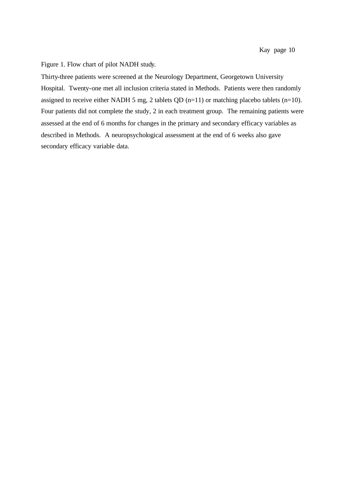Figure 1. Flow chart of pilot NADH study.

Thirty-three patients were screened at the Neurology Department, Georgetown University Hospital. Twenty-one met all inclusion criteria stated in Methods. Patients were then randomly assigned to receive either NADH 5 mg, 2 tablets QD  $(n=11)$  or matching placebo tablets  $(n=10)$ . Four patients did not complete the study, 2 in each treatment group. The remaining patients were assessed at the end of 6 months for changes in the primary and secondary efficacy variables as described in Methods. A neuropsychological assessment at the end of 6 weeks also gave secondary efficacy variable data.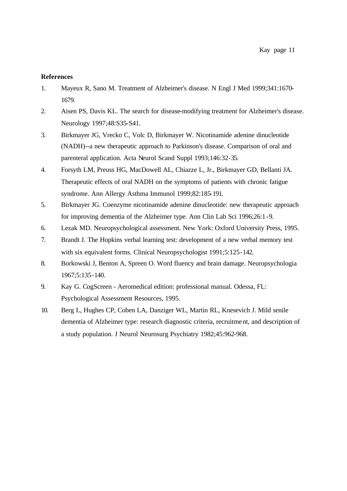### **References**

- 1. Mayeux R, Sano M. Treatment of Alzheimer's disease. N Engl J Med 1999;341:1670- 1679.
- 2. Aisen PS, Davis KL. The search for disease-modifying treatment for Alzheimer's disease. Neurology 1997;48:S35-S41.
- 3. Birkmayer JG, Vrecko C, Volc D, Birkmayer W. Nicotinamide adenine dinucleotide (NADH)--a new therapeutic approach to Parkinson's disease. Comparison of oral and parenteral application. Acta Neurol Scand Suppl 1993;146:32-35.
- 4. Forsyth LM, Preuss HG, MacDowell AL, Chiazze L, Jr., Birkmayer GD, Bellanti JA. Therapeutic effects of oral NADH on the symptoms of patients with chronic fatigue syndrome. Ann Allergy Asthma Immunol 1999;82:185-191.
- 5. Birkmayer JG. Coenzyme nicotinamide adenine dinucleotide: new therapeutic approach for improving dementia of the Alzheimer type. Ann Clin Lab Sci 1996;26:1-9.
- 6. Lezak MD. Neuropsychological assessment. New York: Oxford University Press, 1995.
- 7. Brandt J. The Hopkins verbal learning test: development of a new verbal memory test with six equivalent forms. Clinical Neuropsychologist 1991;5:125-142.
- 8. Borkowski J, Benton A, Spreen O. Word fluency and brain damage. Neuropsychologia 1967;5:135-140.
- 9. Kay G. CogScreen Aeromedical edition: professional manual. Odessa, FL: Psychological Assessment Resources, 1995.
- 10. Berg L, Hughes CP, Coben LA, Danziger WL, Martin RL, Knesevich J. Mild senile dementia of Alzheimer type: research diagnostic criteria, recruitme nt, and description of a study population. J Neurol Neurosurg Psychiatry 1982;45:962-968.